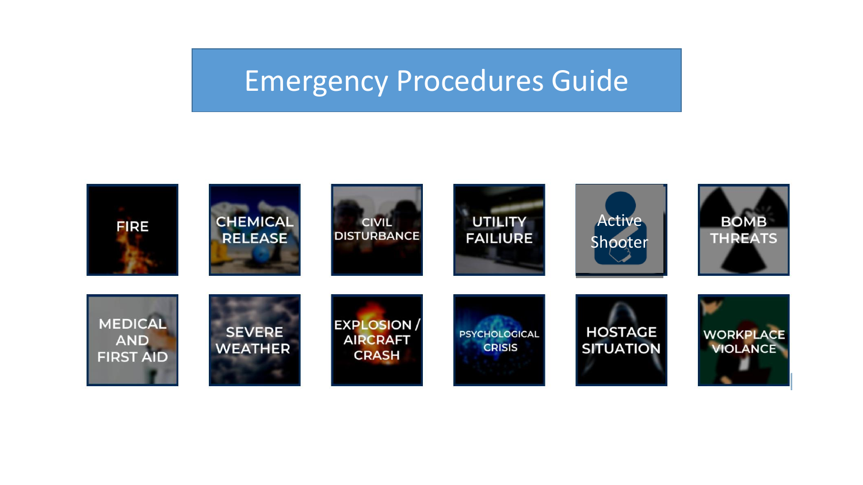# Emergency Procedures Guide

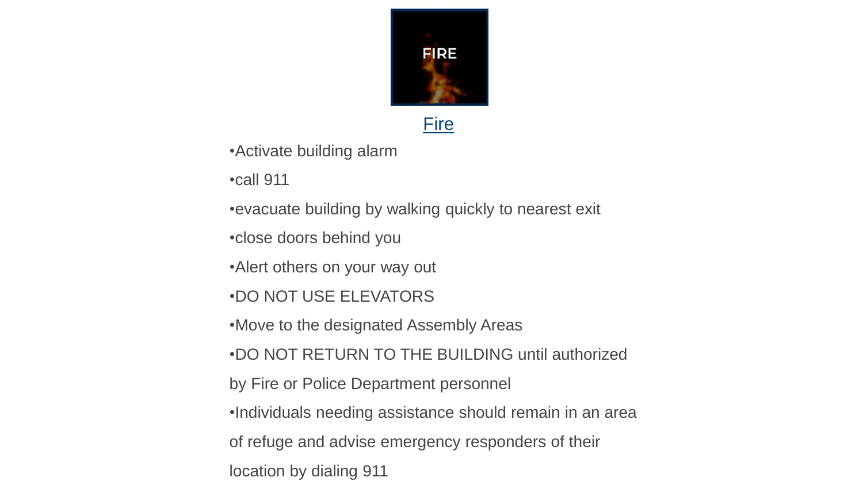

## **Fire**

•Activate building alarm

•call 911

•evacuate building by walking quickly to nearest exit

•close doors behind you

•Alert others on your way out

•DO NOT USE ELEVATORS

•Move to the designated Assembly Areas

•DO NOT RETURN TO THE BUILDING until authorized

by Fire or Police Department personnel

•Individuals needing assistance should remain in an area

of refuge and advise emergency responders of their

location by dialing 911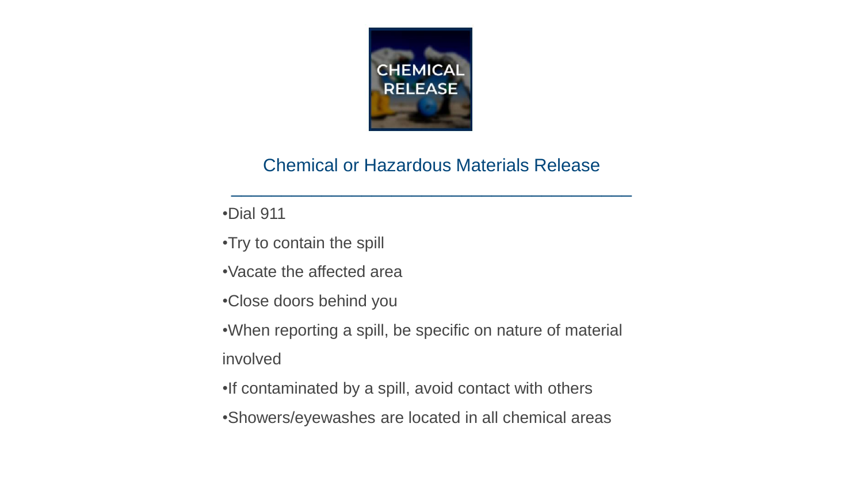

## Chemical or Hazardous Materials Release

 $\mathcal{L}_\text{max}$  and  $\mathcal{L}_\text{max}$  and  $\mathcal{L}_\text{max}$  and  $\mathcal{L}_\text{max}$  and  $\mathcal{L}_\text{max}$  and  $\mathcal{L}_\text{max}$ 

•Dial 911

•Try to contain the spill

•Vacate the affected area

•Close doors behind you

•When reporting a spill, be specific on nature of material involved

•If contaminated by a spill, avoid contact with others

•Showers/eyewashes are located in all chemical areas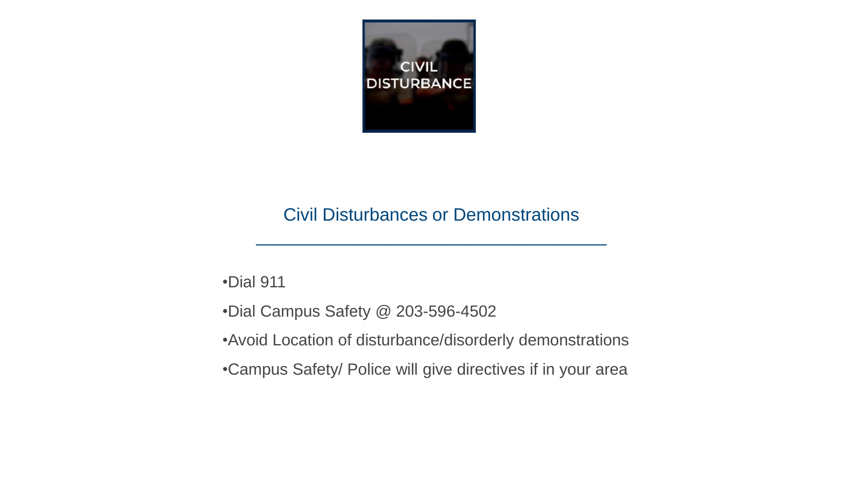

### Civil Disturbances or Demonstrations

 $\mathcal{L}_\text{max}$  , and the contract of the contract of the contract of the contract of the contract of the contract of the contract of the contract of the contract of the contract of the contract of the contract of the contr

•Dial 911

•Dial Campus Safety @ 203-596-4502

•Avoid Location of disturbance/disorderly demonstrations

•Campus Safety/ Police will give directives if in your area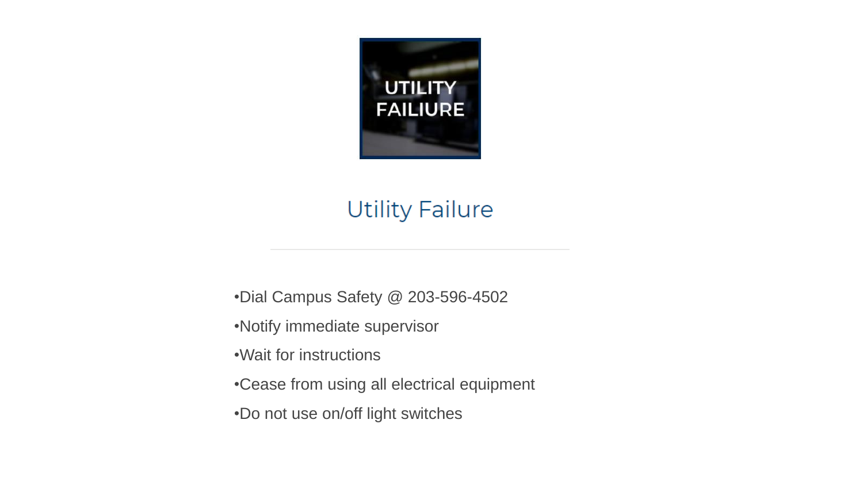

## **Utility Failure**

•Dial Campus Safety @ 203-596-4502

•Notify immediate supervisor

•Wait for instructions

•Cease from using all electrical equipment

•Do not use on/off light switches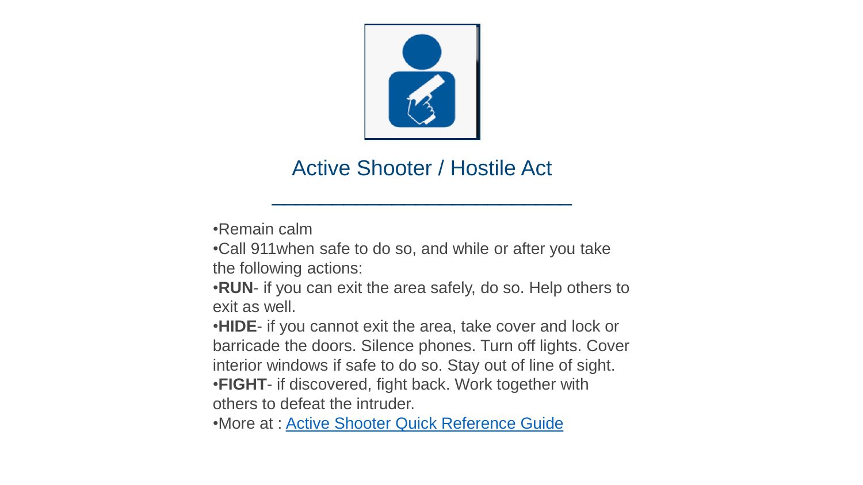

## Active Shooter / Hostile Act

\_\_\_\_\_\_\_\_\_\_\_\_\_\_\_\_\_\_\_\_\_\_\_\_\_

•Remain calm

•Call 911when safe to do so, and while or after you take the following actions:

•**RUN**- if you can exit the area safely, do so. Help others to exit as well.

•**HIDE**- if you cannot exit the area, take cover and lock or barricade the doors. Silence phones. Turn off lights. Cover interior windows if safe to do so. Stay out of line of sight. •**FIGHT**- if discovered, fight back. Work together with others to defeat the intruder.

•More at : [Active Shooter Quick Reference Guide](https://www.dhs.gov/xlibrary/assets/active_shooter_booklet.pdf)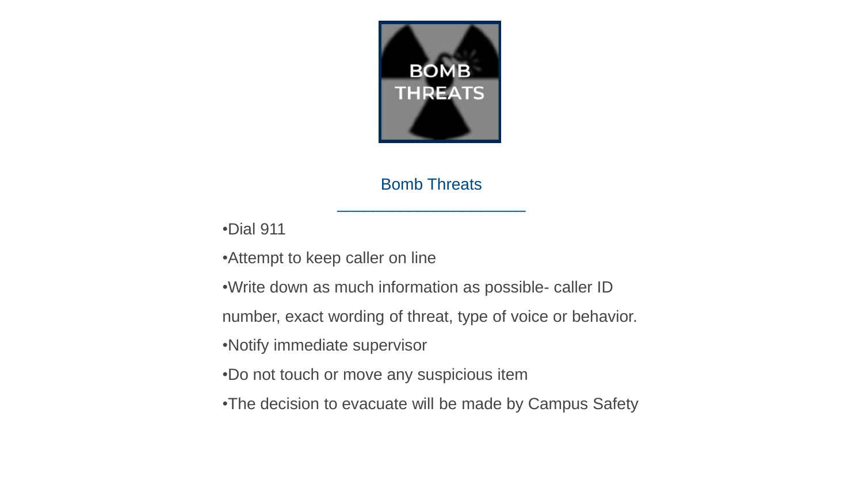

#### Bomb Threats

\_\_\_\_\_\_\_\_\_\_\_\_\_\_\_\_\_\_\_\_\_

#### •Dial 911

•Attempt to keep caller on line

•Write down as much information as possible- caller ID

number, exact wording of threat, type of voice or behavior.

•Notify immediate supervisor

•Do not touch or move any suspicious item

•The decision to evacuate will be made by Campus Safety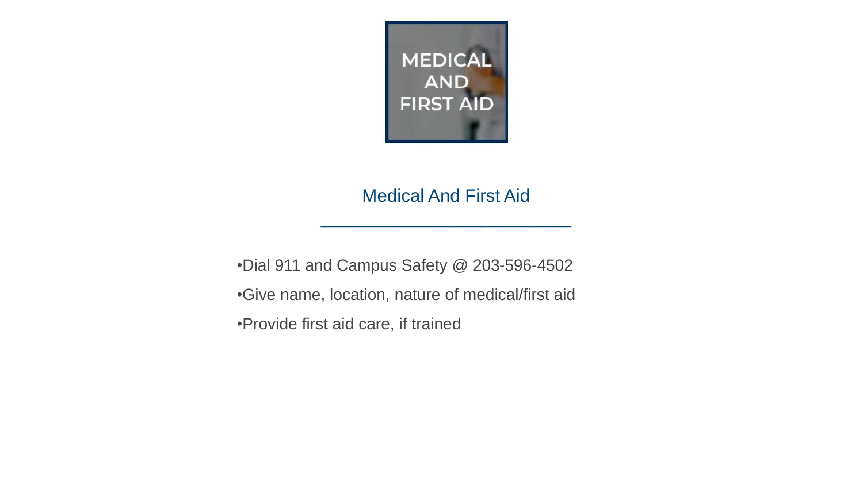

## Medical And First Aid

 $\mathcal{L}_\text{max}$  , and the set of the set of the set of the set of the set of the set of the set of the set of the set of the set of the set of the set of the set of the set of the set of the set of the set of the set of the

•Dial 911 and Campus Safety @ 203-596-4502 •Give name, location, nature of medical/first aid •Provide first aid care, if trained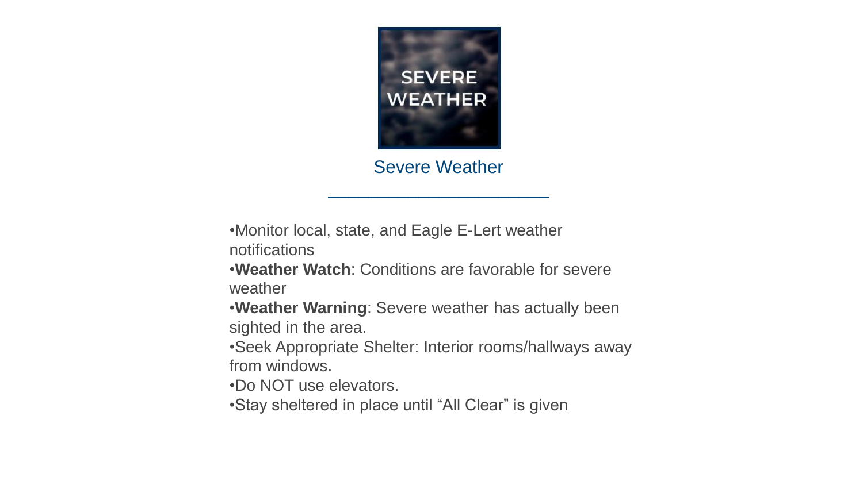

Severe Weather

 $\mathcal{L}_\text{max}$  , where  $\mathcal{L}_\text{max}$  and  $\mathcal{L}_\text{max}$ 

•Monitor local, state, and Eagle E-Lert weather notifications

•**Weather Watch**: Conditions are favorable for severe weather

•**Weather Warning**: Severe weather has actually been sighted in the area.

•Seek Appropriate Shelter: Interior rooms/hallways away from windows.

•Do NOT use elevators.

•Stay sheltered in place until "All Clear" is given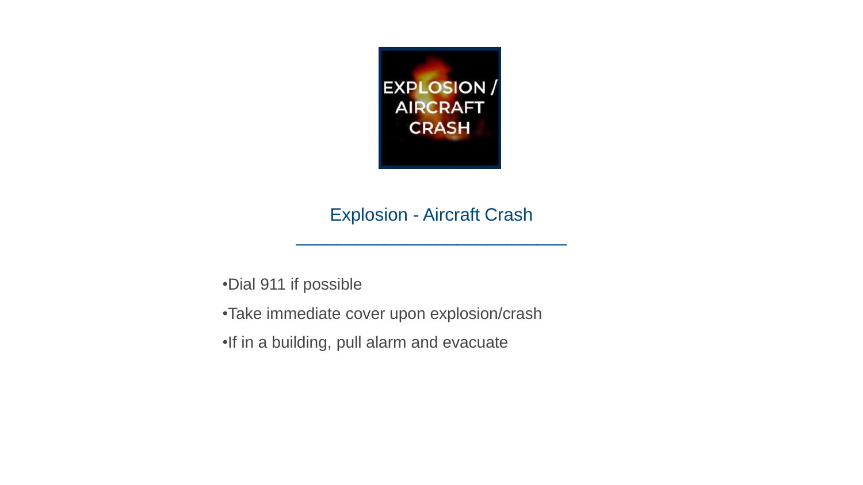

## Explosion - Aircraft Crash

\_\_\_\_\_\_\_\_\_\_\_\_\_\_\_\_\_\_\_\_\_\_\_\_\_\_\_

•Dial 911 if possible

- •Take immediate cover upon explosion/crash
- •If in a building, pull alarm and evacuate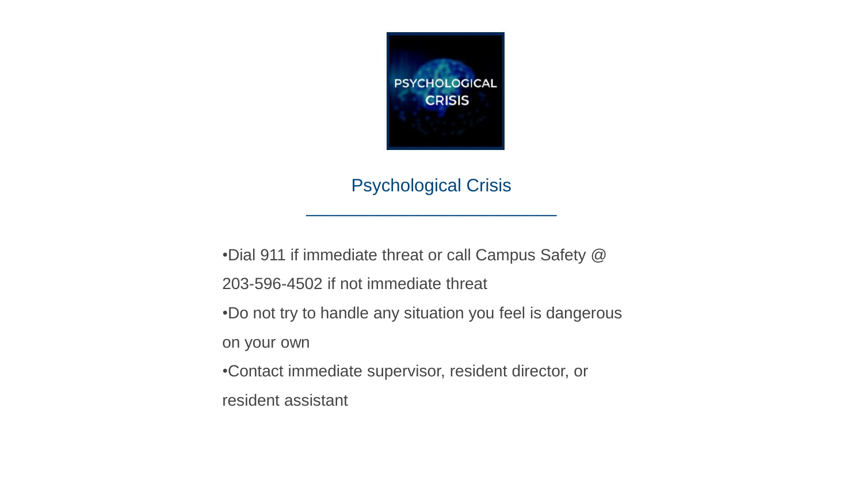

Psychological Crisis

 $\mathcal{L}_\text{max}$  , and the set of the set of the set of the set of the set of the set of the set of the set of the set of the set of the set of the set of the set of the set of the set of the set of the set of the set of the

•Dial 911 if immediate threat or call Campus Safety @ 203-596-4502 if not immediate threat

•Do not try to handle any situation you feel is dangerous

on your own

•Contact immediate supervisor, resident director, or

resident assistant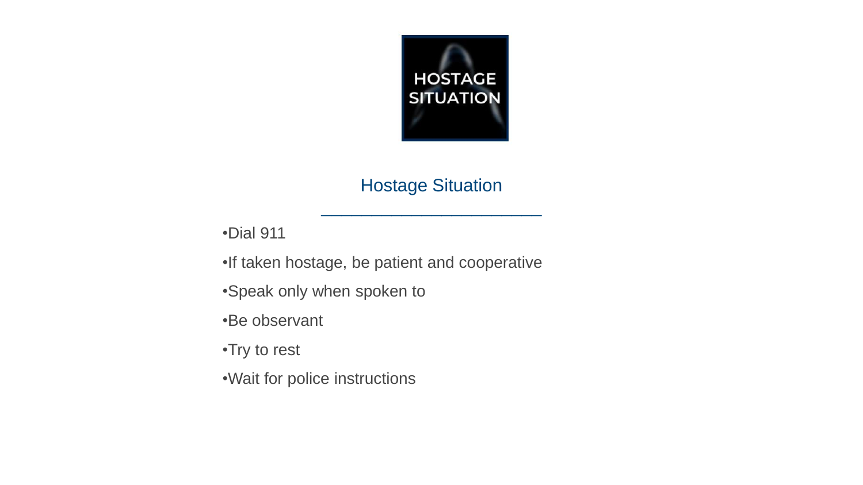

## Hostage Situation

 $\mathcal{L}_\text{max}$  , where  $\mathcal{L}_\text{max}$  and  $\mathcal{L}_\text{max}$ 

•Dial 911

•If taken hostage, be patient and cooperative

•Speak only when spoken to

•Be observant

•Try to rest

•Wait for police instructions